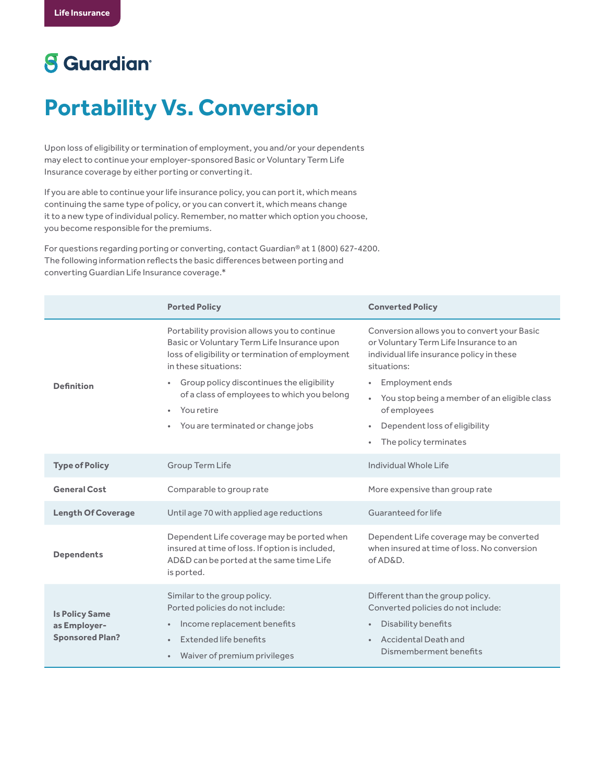## **8** Guardian<sup>®</sup>

## **Portability Vs. Conversion**

Upon loss of eligibility or termination of employment, you and/or your dependents may elect to continue your employer-sponsored Basic or Voluntary Term Life Insurance coverage by either porting or converting it.

If you are able to continue your life insurance policy, you can port it, which means continuing the same type of policy, or you can convert it, which means change it to a new type of individual policy. Remember, no matter which option you choose, you become responsible for the premiums.

For questions regarding porting or converting, contact Guardian® at 1 (800) 627-4200. The following information reflects the basic differences between porting and converting Guardian Life Insurance coverage.\*

|                                                                 | <b>Ported Policy</b>                                                                                                                                                                                                                                                                                                                | <b>Converted Policy</b>                                                                                                                                                                                                                                                                                                       |
|-----------------------------------------------------------------|-------------------------------------------------------------------------------------------------------------------------------------------------------------------------------------------------------------------------------------------------------------------------------------------------------------------------------------|-------------------------------------------------------------------------------------------------------------------------------------------------------------------------------------------------------------------------------------------------------------------------------------------------------------------------------|
| <b>Definition</b>                                               | Portability provision allows you to continue<br>Basic or Voluntary Term Life Insurance upon<br>loss of eligibility or termination of employment<br>in these situations:<br>Group policy discontinues the eligibility<br>of a class of employees to which you belong<br>You retire<br>$\bullet$<br>You are terminated or change jobs | Conversion allows you to convert your Basic<br>or Voluntary Term Life Insurance to an<br>individual life insurance policy in these<br>situations:<br>Employment ends<br>$\bullet$<br>You stop being a member of an eligible class<br>$\bullet$<br>of employees<br>Dependent loss of eligibility<br>٠<br>The policy terminates |
| <b>Type of Policy</b>                                           | Group Term Life                                                                                                                                                                                                                                                                                                                     | Individual Whole Life                                                                                                                                                                                                                                                                                                         |
| <b>General Cost</b>                                             | Comparable to group rate                                                                                                                                                                                                                                                                                                            | More expensive than group rate                                                                                                                                                                                                                                                                                                |
| <b>Length Of Coverage</b>                                       | Until age 70 with applied age reductions                                                                                                                                                                                                                                                                                            | Guaranteed for life                                                                                                                                                                                                                                                                                                           |
| <b>Dependents</b>                                               | Dependent Life coverage may be ported when<br>insured at time of loss. If option is included,<br>AD&D can be ported at the same time Life<br>is ported.                                                                                                                                                                             | Dependent Life coverage may be converted<br>when insured at time of loss. No conversion<br>of AD&D.                                                                                                                                                                                                                           |
| <b>Is Policy Same</b><br>as Employer-<br><b>Sponsored Plan?</b> | Similar to the group policy.<br>Ported policies do not include:<br>Income replacement benefits<br>Extended life benefits<br>$\bullet$<br>Waiver of premium privileges                                                                                                                                                               | Different than the group policy.<br>Converted policies do not include:<br>Disability benefits<br>$\bullet$<br><b>Accidental Death and</b><br>$\bullet$<br>Dismemberment benefits                                                                                                                                              |